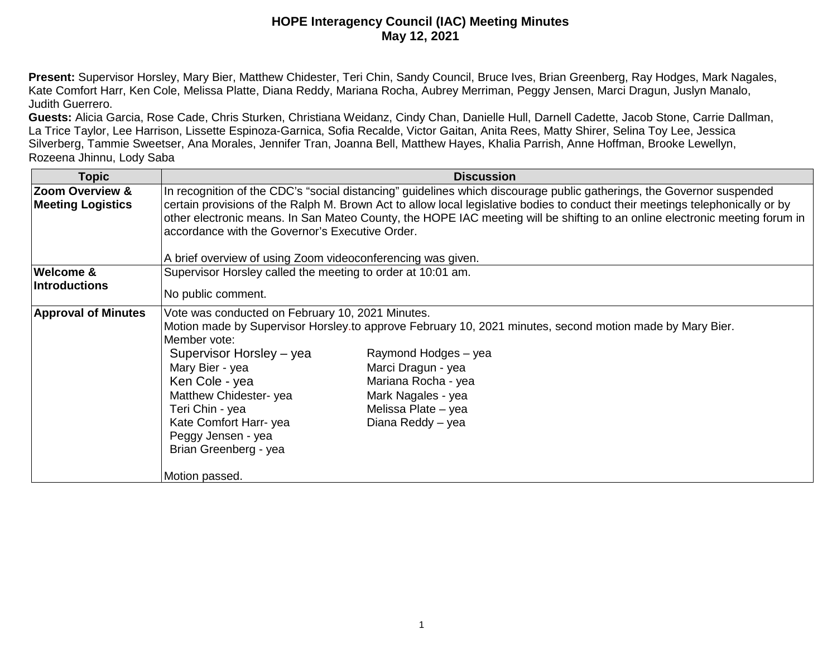**Present:** Supervisor Horsley, Mary Bier, Matthew Chidester, Teri Chin, Sandy Council, Bruce Ives, Brian Greenberg, Ray Hodges, Mark Nagales, Kate Comfort Harr, Ken Cole, Melissa Platte, Diana Reddy, Mariana Rocha, Aubrey Merriman, Peggy Jensen, Marci Dragun, Juslyn Manalo, Judith Guerrero.

**Guests:** Alicia Garcia, Rose Cade, Chris Sturken, Christiana Weidanz, Cindy Chan, Danielle Hull, Darnell Cadette, Jacob Stone, Carrie Dallman, La Trice Taylor, Lee Harrison, Lissette Espinoza-Garnica, Sofia Recalde, Victor Gaitan, Anita Rees, Matty Shirer, Selina Toy Lee, Jessica Silverberg, Tammie Sweetser, Ana Morales, Jennifer Tran, Joanna Bell, Matthew Hayes, Khalia Parrish, Anne Hoffman, Brooke Lewellyn, Rozeena Jhinnu, Lody Saba

| <b>Topic</b>               | <b>Discussion</b>                                                                                                                                                                                                                                            |
|----------------------------|--------------------------------------------------------------------------------------------------------------------------------------------------------------------------------------------------------------------------------------------------------------|
| Zoom Overview &            | In recognition of the CDC's "social distancing" guidelines which discourage public gatherings, the Governor suspended                                                                                                                                        |
| <b>Meeting Logistics</b>   | certain provisions of the Ralph M. Brown Act to allow local legislative bodies to conduct their meetings telephonically or by<br>other electronic means. In San Mateo County, the HOPE IAC meeting will be shifting to an online electronic meeting forum in |
|                            | accordance with the Governor's Executive Order.                                                                                                                                                                                                              |
|                            |                                                                                                                                                                                                                                                              |
|                            | A brief overview of using Zoom videoconferencing was given.                                                                                                                                                                                                  |
| Welcome &                  | Supervisor Horsley called the meeting to order at 10:01 am.                                                                                                                                                                                                  |
| <b>Introductions</b>       | No public comment.                                                                                                                                                                                                                                           |
|                            |                                                                                                                                                                                                                                                              |
| <b>Approval of Minutes</b> | Vote was conducted on February 10, 2021 Minutes.                                                                                                                                                                                                             |
|                            | Motion made by Supervisor Horsley.to approve February 10, 2021 minutes, second motion made by Mary Bier.                                                                                                                                                     |
|                            | Member vote:                                                                                                                                                                                                                                                 |
|                            | Supervisor Horsley – yea<br>Raymond Hodges - yea                                                                                                                                                                                                             |
|                            | Mary Bier - yea<br>Marci Dragun - yea                                                                                                                                                                                                                        |
|                            | Mariana Rocha - yea<br>Ken Cole - yea                                                                                                                                                                                                                        |
|                            | Matthew Chidester-yea<br>Mark Nagales - yea                                                                                                                                                                                                                  |
|                            | Teri Chin - yea<br>Melissa Plate - yea                                                                                                                                                                                                                       |
|                            | Kate Comfort Harr-yea<br>Diana Reddy - yea                                                                                                                                                                                                                   |
|                            | Peggy Jensen - yea                                                                                                                                                                                                                                           |
|                            | Brian Greenberg - yea                                                                                                                                                                                                                                        |
|                            |                                                                                                                                                                                                                                                              |
|                            | Motion passed.                                                                                                                                                                                                                                               |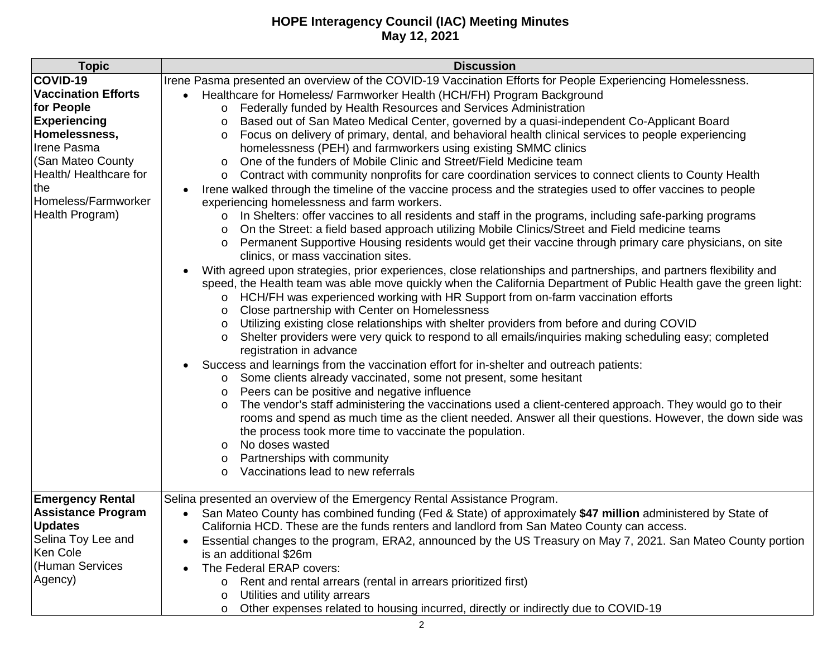| <b>Topic</b>               | <b>Discussion</b>                                                                                                       |
|----------------------------|-------------------------------------------------------------------------------------------------------------------------|
| COVID-19                   | Irene Pasma presented an overview of the COVID-19 Vaccination Efforts for People Experiencing Homelessness.             |
| <b>Vaccination Efforts</b> | Healthcare for Homeless/ Farmworker Health (HCH/FH) Program Background                                                  |
| for People                 | Federally funded by Health Resources and Services Administration<br>$\circ$                                             |
| <b>Experiencing</b>        | Based out of San Mateo Medical Center, governed by a quasi-independent Co-Applicant Board<br>$\circ$                    |
| Homelessness,              | Focus on delivery of primary, dental, and behavioral health clinical services to people experiencing<br>$\circ$         |
| Irene Pasma                | homelessness (PEH) and farmworkers using existing SMMC clinics                                                          |
| (San Mateo County          | One of the funders of Mobile Clinic and Street/Field Medicine team<br>$\circ$                                           |
| Health/ Healthcare for     | Contract with community nonprofits for care coordination services to connect clients to County Health<br>$\circ$        |
| the                        | Irene walked through the timeline of the vaccine process and the strategies used to offer vaccines to people            |
| Homeless/Farmworker        | experiencing homelessness and farm workers.                                                                             |
| Health Program)            | In Shelters: offer vaccines to all residents and staff in the programs, including safe-parking programs<br>$\circ$      |
|                            | On the Street: a field based approach utilizing Mobile Clinics/Street and Field medicine teams<br>$\circ$               |
|                            | Permanent Supportive Housing residents would get their vaccine through primary care physicians, on site<br>O            |
|                            | clinics, or mass vaccination sites.                                                                                     |
|                            | With agreed upon strategies, prior experiences, close relationships and partnerships, and partners flexibility and      |
|                            | speed, the Health team was able move quickly when the California Department of Public Health gave the green light:      |
|                            | HCH/FH was experienced working with HR Support from on-farm vaccination efforts<br>$\circ$                              |
|                            | Close partnership with Center on Homelessness<br>$\circ$                                                                |
|                            | Utilizing existing close relationships with shelter providers from before and during COVID<br>$\circ$                   |
|                            | Shelter providers were very quick to respond to all emails/inquiries making scheduling easy; completed<br>$\circ$       |
|                            | registration in advance                                                                                                 |
|                            | Success and learnings from the vaccination effort for in-shelter and outreach patients:                                 |
|                            | Some clients already vaccinated, some not present, some hesitant<br>$\circ$                                             |
|                            | Peers can be positive and negative influence<br>$\circ$                                                                 |
|                            | The vendor's staff administering the vaccinations used a client-centered approach. They would go to their<br>$\circ$    |
|                            | rooms and spend as much time as the client needed. Answer all their questions. However, the down side was               |
|                            | the process took more time to vaccinate the population.<br>No doses wasted                                              |
|                            | $\circ$                                                                                                                 |
|                            | Partnerships with community<br>O<br>Vaccinations lead to new referrals<br>O                                             |
|                            |                                                                                                                         |
| <b>Emergency Rental</b>    | Selina presented an overview of the Emergency Rental Assistance Program.                                                |
| <b>Assistance Program</b>  | San Mateo County has combined funding (Fed & State) of approximately \$47 million administered by State of<br>$\bullet$ |
| <b>Updates</b>             | California HCD. These are the funds renters and landlord from San Mateo County can access.                              |
| Selina Toy Lee and         | Essential changes to the program, ERA2, announced by the US Treasury on May 7, 2021. San Mateo County portion           |
| Ken Cole                   | is an additional \$26m                                                                                                  |
| (Human Services            | The Federal ERAP covers:                                                                                                |
| Agency)                    | Rent and rental arrears (rental in arrears prioritized first)<br>O                                                      |
|                            | Utilities and utility arrears<br>$\circ$                                                                                |
|                            | Other expenses related to housing incurred, directly or indirectly due to COVID-19<br>$\circ$                           |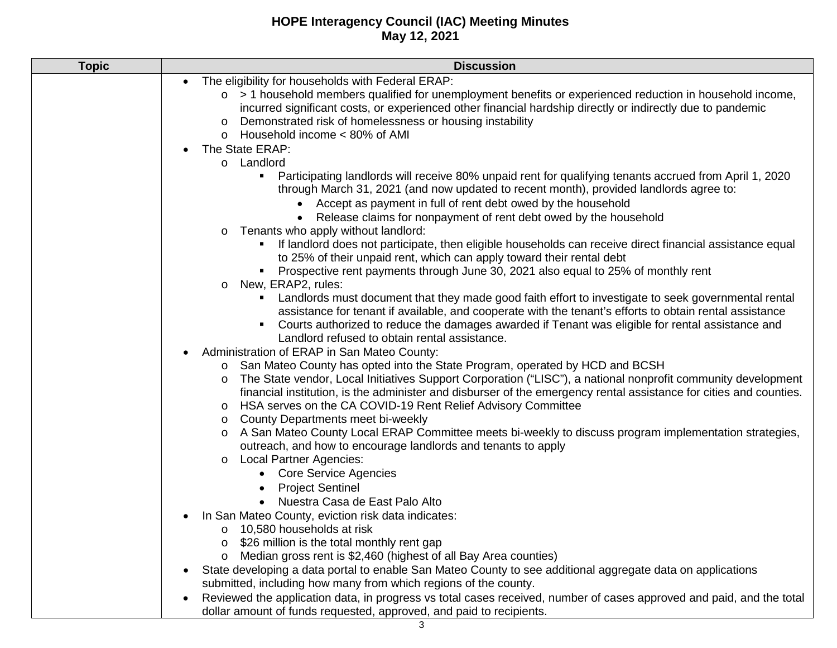| <b>Topic</b> | <b>Discussion</b>                                                                                                                                                                                                                                                                                                                    |
|--------------|--------------------------------------------------------------------------------------------------------------------------------------------------------------------------------------------------------------------------------------------------------------------------------------------------------------------------------------|
|              | The eligibility for households with Federal ERAP:                                                                                                                                                                                                                                                                                    |
|              | $\circ$ > 1 household members qualified for unemployment benefits or experienced reduction in household income,                                                                                                                                                                                                                      |
|              | incurred significant costs, or experienced other financial hardship directly or indirectly due to pandemic                                                                                                                                                                                                                           |
|              | Demonstrated risk of homelessness or housing instability<br>$\circ$                                                                                                                                                                                                                                                                  |
|              | Household income < 80% of AMI<br>$\circ$                                                                                                                                                                                                                                                                                             |
|              | The State ERAP:                                                                                                                                                                                                                                                                                                                      |
|              | o Landlord                                                                                                                                                                                                                                                                                                                           |
|              | Participating landlords will receive 80% unpaid rent for qualifying tenants accrued from April 1, 2020<br>٠<br>through March 31, 2021 (and now updated to recent month), provided landlords agree to:                                                                                                                                |
|              | • Accept as payment in full of rent debt owed by the household                                                                                                                                                                                                                                                                       |
|              | Release claims for nonpayment of rent debt owed by the household                                                                                                                                                                                                                                                                     |
|              | Tenants who apply without landlord:<br>$\circ$                                                                                                                                                                                                                                                                                       |
|              | If landlord does not participate, then eligible households can receive direct financial assistance equal<br>to 25% of their unpaid rent, which can apply toward their rental debt                                                                                                                                                    |
|              | Prospective rent payments through June 30, 2021 also equal to 25% of monthly rent                                                                                                                                                                                                                                                    |
|              | New, ERAP2, rules:<br>$\circ$                                                                                                                                                                                                                                                                                                        |
|              | Landlords must document that they made good faith effort to investigate to seek governmental rental<br>assistance for tenant if available, and cooperate with the tenant's efforts to obtain rental assistance<br>Courts authorized to reduce the damages awarded if Tenant was eligible for rental assistance and<br>$\blacksquare$ |
|              | Landlord refused to obtain rental assistance.                                                                                                                                                                                                                                                                                        |
|              | Administration of ERAP in San Mateo County:                                                                                                                                                                                                                                                                                          |
|              | San Mateo County has opted into the State Program, operated by HCD and BCSH<br>The State vendor, Local Initiatives Support Corporation ("LISC"), a national nonprofit community development                                                                                                                                          |
|              | $\circ$<br>financial institution, is the administer and disburser of the emergency rental assistance for cities and counties.                                                                                                                                                                                                        |
|              | HSA serves on the CA COVID-19 Rent Relief Advisory Committee<br>$\circ$                                                                                                                                                                                                                                                              |
|              | County Departments meet bi-weekly<br>$\circ$                                                                                                                                                                                                                                                                                         |
|              | A San Mateo County Local ERAP Committee meets bi-weekly to discuss program implementation strategies,<br>$\circ$<br>outreach, and how to encourage landlords and tenants to apply                                                                                                                                                    |
|              | <b>Local Partner Agencies:</b><br>$\circ$                                                                                                                                                                                                                                                                                            |
|              | <b>Core Service Agencies</b>                                                                                                                                                                                                                                                                                                         |
|              | <b>Project Sentinel</b><br>$\bullet$                                                                                                                                                                                                                                                                                                 |
|              | Nuestra Casa de East Palo Alto<br>$\bullet$                                                                                                                                                                                                                                                                                          |
|              | In San Mateo County, eviction risk data indicates:                                                                                                                                                                                                                                                                                   |
|              | 10,580 households at risk                                                                                                                                                                                                                                                                                                            |
|              | \$26 million is the total monthly rent gap                                                                                                                                                                                                                                                                                           |
|              | Median gross rent is \$2,460 (highest of all Bay Area counties)<br>$\circ$                                                                                                                                                                                                                                                           |
|              | State developing a data portal to enable San Mateo County to see additional aggregate data on applications                                                                                                                                                                                                                           |
|              | submitted, including how many from which regions of the county.                                                                                                                                                                                                                                                                      |
|              | Reviewed the application data, in progress vs total cases received, number of cases approved and paid, and the total<br>$\bullet$                                                                                                                                                                                                    |
|              | dollar amount of funds requested, approved, and paid to recipients.                                                                                                                                                                                                                                                                  |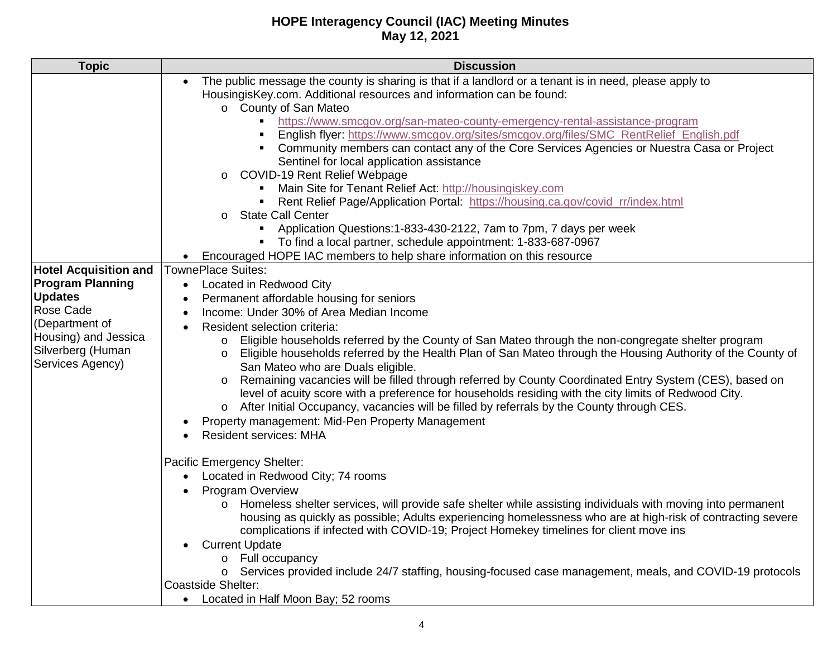| <b>Topic</b>                                                                                                                                                              | <b>Discussion</b>                                                                                                                                                                                                                                                                                                                                                                                                                                                                                                                                                                                                                                                                                                                                                                                                                                                                                                                                                                                                                                                                                                                                                                                                                                                                                                                                                                                                                                                                                                                                                                                                                                                                                                                                                                                                                                                                                                                                                                                                                                                                                                                                                                                                                                                                                                                                                                                                        |
|---------------------------------------------------------------------------------------------------------------------------------------------------------------------------|--------------------------------------------------------------------------------------------------------------------------------------------------------------------------------------------------------------------------------------------------------------------------------------------------------------------------------------------------------------------------------------------------------------------------------------------------------------------------------------------------------------------------------------------------------------------------------------------------------------------------------------------------------------------------------------------------------------------------------------------------------------------------------------------------------------------------------------------------------------------------------------------------------------------------------------------------------------------------------------------------------------------------------------------------------------------------------------------------------------------------------------------------------------------------------------------------------------------------------------------------------------------------------------------------------------------------------------------------------------------------------------------------------------------------------------------------------------------------------------------------------------------------------------------------------------------------------------------------------------------------------------------------------------------------------------------------------------------------------------------------------------------------------------------------------------------------------------------------------------------------------------------------------------------------------------------------------------------------------------------------------------------------------------------------------------------------------------------------------------------------------------------------------------------------------------------------------------------------------------------------------------------------------------------------------------------------------------------------------------------------------------------------------------------------|
| <b>Hotel Acquisition and</b><br><b>Program Planning</b><br><b>Updates</b><br>Rose Cade<br>(Department of<br>Housing) and Jessica<br>Silverberg (Human<br>Services Agency) | The public message the county is sharing is that if a landlord or a tenant is in need, please apply to<br>$\bullet$<br>HousingisKey.com. Additional resources and information can be found:<br>o County of San Mateo<br>https://www.smcgov.org/san-mateo-county-emergency-rental-assistance-program<br>English flyer: https://www.smcgov.org/sites/smcgov.org/files/SMC_RentRelief_English.pdf<br>Community members can contact any of the Core Services Agencies or Nuestra Casa or Project<br>Sentinel for local application assistance<br><b>COVID-19 Rent Relief Webpage</b><br>$\circ$<br>Main Site for Tenant Relief Act: http://housingiskey.com<br>Rent Relief Page/Application Portal: https://housing.ca.gov/covid_rr/index.html<br><b>State Call Center</b><br>$\circ$<br>Application Questions: 1-833-430-2122, 7am to 7pm, 7 days per week<br>$\blacksquare$<br>• To find a local partner, schedule appointment: 1-833-687-0967<br>Encouraged HOPE IAC members to help share information on this resource<br>$\bullet$<br><b>TownePlace Suites:</b><br>Located in Redwood City<br>$\bullet$<br>Permanent affordable housing for seniors<br>Income: Under 30% of Area Median Income<br>Resident selection criteria:<br>Eligible households referred by the County of San Mateo through the non-congregate shelter program<br>$\circ$<br>Eligible households referred by the Health Plan of San Mateo through the Housing Authority of the County of<br>$\circ$<br>San Mateo who are Duals eligible.<br>Remaining vacancies will be filled through referred by County Coordinated Entry System (CES), based on<br>level of acuity score with a preference for households residing with the city limits of Redwood City.<br>After Initial Occupancy, vacancies will be filled by referrals by the County through CES.<br>$\circ$<br>Property management: Mid-Pen Property Management<br><b>Resident services: MHA</b><br>Pacific Emergency Shelter:<br>Located in Redwood City; 74 rooms<br>$\bullet$<br><b>Program Overview</b><br>Homeless shelter services, will provide safe shelter while assisting individuals with moving into permanent<br>$\circ$<br>housing as quickly as possible; Adults experiencing homelessness who are at high-risk of contracting severe<br>complications if infected with COVID-19; Project Homekey timelines for client move ins<br><b>Current Update</b><br>Full occupancy |
|                                                                                                                                                                           | Services provided include 24/7 staffing, housing-focused case management, meals, and COVID-19 protocols<br>$\circ$<br><b>Coastside Shelter:</b>                                                                                                                                                                                                                                                                                                                                                                                                                                                                                                                                                                                                                                                                                                                                                                                                                                                                                                                                                                                                                                                                                                                                                                                                                                                                                                                                                                                                                                                                                                                                                                                                                                                                                                                                                                                                                                                                                                                                                                                                                                                                                                                                                                                                                                                                          |
|                                                                                                                                                                           | • Located in Half Moon Bay; 52 rooms                                                                                                                                                                                                                                                                                                                                                                                                                                                                                                                                                                                                                                                                                                                                                                                                                                                                                                                                                                                                                                                                                                                                                                                                                                                                                                                                                                                                                                                                                                                                                                                                                                                                                                                                                                                                                                                                                                                                                                                                                                                                                                                                                                                                                                                                                                                                                                                     |